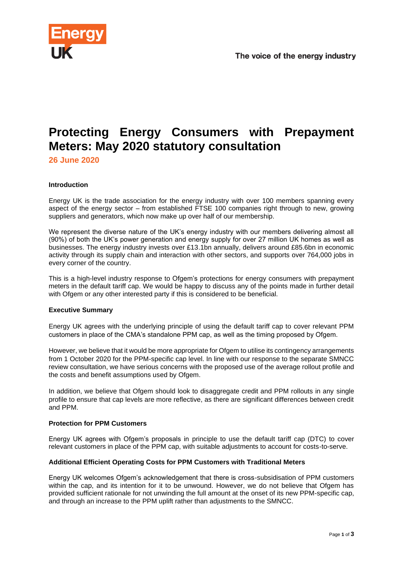

# **Protecting Energy Consumers with Prepayment Meters: May 2020 statutory consultation**

**26 June 2020**

## **Introduction**

Energy UK is the trade association for the energy industry with over 100 members spanning every aspect of the energy sector – from established FTSE 100 companies right through to new, growing suppliers and generators, which now make up over half of our membership.

We represent the diverse nature of the UK's energy industry with our members delivering almost all (90%) of both the UK's power generation and energy supply for over 27 million UK homes as well as businesses. The energy industry invests over £13.1bn annually, delivers around £85.6bn in economic activity through its supply chain and interaction with other sectors, and supports over 764,000 jobs in every corner of the country.

This is a high-level industry response to Ofgem's protections for energy consumers with prepayment meters in the default tariff cap. We would be happy to discuss any of the points made in further detail with Ofgem or any other interested party if this is considered to be beneficial.

## **Executive Summary**

Energy UK agrees with the underlying principle of using the default tariff cap to cover relevant PPM customers in place of the CMA's standalone PPM cap, as well as the timing proposed by Ofgem.

However, we believe that it would be more appropriate for Ofgem to utilise its contingency arrangements from 1 October 2020 for the PPM-specific cap level. In line with our response to the separate SMNCC review consultation, we have serious concerns with the proposed use of the average rollout profile and the costs and benefit assumptions used by Ofgem.

In addition, we believe that Ofgem should look to disaggregate credit and PPM rollouts in any single profile to ensure that cap levels are more reflective, as there are significant differences between credit and PPM.

## **Protection for PPM Customers**

Energy UK agrees with Ofgem's proposals in principle to use the default tariff cap (DTC) to cover relevant customers in place of the PPM cap, with suitable adjustments to account for costs-to-serve.

## **Additional Efficient Operating Costs for PPM Customers with Traditional Meters**

Energy UK welcomes Ofgem's acknowledgement that there is cross-subsidisation of PPM customers within the cap, and its intention for it to be unwound. However, we do not believe that Ofgem has provided sufficient rationale for not unwinding the full amount at the onset of its new PPM-specific cap, and through an increase to the PPM uplift rather than adjustments to the SMNCC.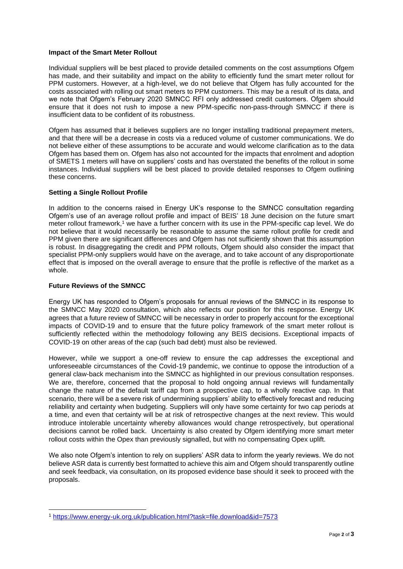#### **Impact of the Smart Meter Rollout**

Individual suppliers will be best placed to provide detailed comments on the cost assumptions Ofgem has made, and their suitability and impact on the ability to efficiently fund the smart meter rollout for PPM customers. However, at a high-level, we do not believe that Ofgem has fully accounted for the costs associated with rolling out smart meters to PPM customers. This may be a result of its data, and we note that Ofgem's February 2020 SMNCC RFI only addressed credit customers. Ofgem should ensure that it does not rush to impose a new PPM-specific non-pass-through SMNCC if there is insufficient data to be confident of its robustness.

Ofgem has assumed that it believes suppliers are no longer installing traditional prepayment meters, and that there will be a decrease in costs via a reduced volume of customer communications. We do not believe either of these assumptions to be accurate and would welcome clarification as to the data Ofgem has based them on. Ofgem has also not accounted for the impacts that enrolment and adoption of SMETS 1 meters will have on suppliers' costs and has overstated the benefits of the rollout in some instances. Individual suppliers will be best placed to provide detailed responses to Ofgem outlining these concerns.

## **Setting a Single Rollout Profile**

In addition to the concerns raised in Energy UK's response to the SMNCC consultation regarding Ofgem's use of an average rollout profile and impact of BEIS' 18 June decision on the future smart meter rollout framework, <sup>1</sup> we have a further concern with its use in the PPM-specific cap level. We do not believe that it would necessarily be reasonable to assume the same rollout profile for credit and PPM given there are significant differences and Ofgem has not sufficiently shown that this assumption is robust. In disaggregating the credit and PPM rollouts, Ofgem should also consider the impact that specialist PPM-only suppliers would have on the average, and to take account of any disproportionate effect that is imposed on the overall average to ensure that the profile is reflective of the market as a whole.

### **Future Reviews of the SMNCC**

Energy UK has responded to Ofgem's proposals for annual reviews of the SMNCC in its response to the SMNCC May 2020 consultation, which also reflects our position for this response. Energy UK agrees that a future review of SMNCC will be necessary in order to properly account for the exceptional impacts of COVID-19 and to ensure that the future policy framework of the smart meter rollout is sufficiently reflected within the methodology following any BEIS decisions. Exceptional impacts of COVID-19 on other areas of the cap (such bad debt) must also be reviewed.

However, while we support a one-off review to ensure the cap addresses the exceptional and unforeseeable circumstances of the Covid-19 pandemic, we continue to oppose the introduction of a general claw-back mechanism into the SMNCC as highlighted in our previous consultation responses. We are, therefore, concerned that the proposal to hold ongoing annual reviews will fundamentally change the nature of the default tariff cap from a prospective cap, to a wholly reactive cap. In that scenario, there will be a severe risk of undermining suppliers' ability to effectively forecast and reducing reliability and certainty when budgeting. Suppliers will only have some certainty for two cap periods at a time, and even that certainty will be at risk of retrospective changes at the next review. This would introduce intolerable uncertainty whereby allowances would change retrospectively, but operational decisions cannot be rolled back. Uncertainty is also created by Ofgem identifying more smart meter rollout costs within the Opex than previously signalled, but with no compensating Opex uplift.

We also note Ofgem's intention to rely on suppliers' ASR data to inform the yearly reviews. We do not believe ASR data is currently best formatted to achieve this aim and Ofgem should transparently outline and seek feedback, via consultation, on its proposed evidence base should it seek to proceed with the proposals.

<sup>1</sup> <https://www.energy-uk.org.uk/publication.html?task=file.download&id=7573>